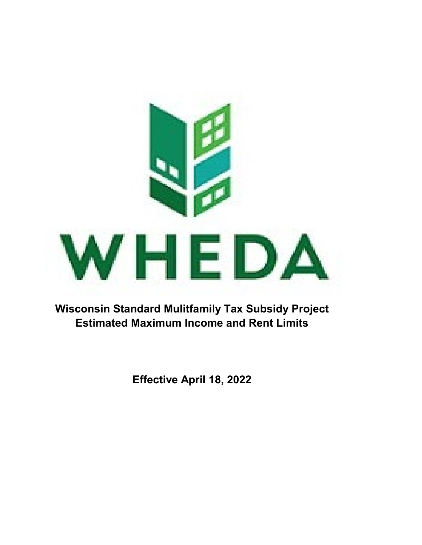

**Wisconsin Standard Mulitfamily Tax Subsidy Project Estimated Maximum Income and Rent Limits**

**Effective April 18, 2022**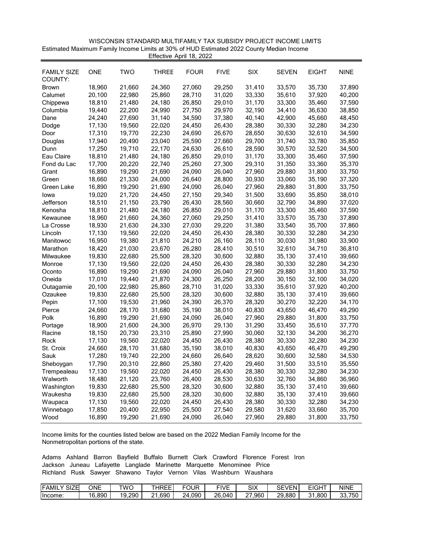| WISCONSIN STANDARD MULTIFAMILY TAX SUBSIDY PROJECT INCOME LIMITS                         |
|------------------------------------------------------------------------------------------|
| Estimated Maximum Family Income Limits at 30% of HUD Estimated 2022 County Median Income |
| Effective April 18, 2022                                                                 |

| <b>FAMILY SIZE</b><br>COUNTY: | <b>ONE</b> | <b>TWO</b> | <b>THREE</b> | <b>FOUR</b> | <b>FIVE</b> | <b>SIX</b> | <b>SEVEN</b> | <b>EIGHT</b> | <b>NINE</b> |
|-------------------------------|------------|------------|--------------|-------------|-------------|------------|--------------|--------------|-------------|
| <b>Brown</b>                  | 18,960     | 21,660     | 24,360       | 27,060      | 29,250      | 31,410     | 33,570       | 35,730       | 37,890      |
| Calumet                       | 20,100     | 22,980     | 25,860       | 28,710      | 31,020      | 33,330     | 35,610       | 37,920       | 40,200      |
| Chippewa                      | 18,810     | 21,480     | 24,180       | 26,850      | 29,010      | 31,170     | 33,300       | 35,460       | 37,590      |
| Columbia                      | 19,440     | 22,200     | 24,990       | 27,750      | 29,970      | 32,190     | 34,410       | 36,630       | 38,850      |
| Dane                          | 24,240     | 27,690     | 31,140       | 34,590      | 37,380      | 40,140     | 42,900       | 45,660       | 48,450      |
| Dodge                         | 17,130     | 19,560     | 22,020       | 24,450      | 26,430      | 28,380     | 30,330       | 32,280       | 34,230      |
| Door                          | 17,310     | 19,770     | 22,230       | 24,690      | 26,670      | 28,650     | 30,630       | 32,610       | 34,590      |
| Douglas                       | 17,940     | 20,490     | 23,040       | 25,590      | 27,660      | 29,700     | 31,740       | 33,780       | 35,850      |
| Dunn                          | 17,250     | 19,710     | 22,170       | 24,630      | 26,610      | 28,590     | 30,570       | 32,520       | 34,500      |
| Eau Claire                    | 18,810     | 21,480     | 24,180       | 26,850      | 29,010      | 31,170     | 33,300       | 35,460       | 37,590      |
| Fond du Lac                   | 17,700     | 20,220     | 22,740       | 25,260      | 27,300      | 29,310     | 31,350       | 33,360       | 35,370      |
| Grant                         | 16,890     | 19,290     | 21,690       | 24,090      | 26,040      | 27,960     | 29,880       | 31,800       | 33,750      |
| Green                         | 18,660     | 21,330     | 24,000       | 26,640      | 28,800      | 30,930     | 33,060       | 35,190       | 37,320      |
| Green Lake                    | 16,890     | 19,290     | 21,690       | 24,090      | 26,040      | 27,960     | 29,880       | 31,800       | 33,750      |
| lowa                          | 19,020     | 21,720     | 24,450       | 27,150      | 29,340      | 31,500     | 33,690       | 35,850       | 38,010      |
| Jefferson                     | 18,510     | 21,150     | 23,790       | 26,430      | 28,560      | 30,660     | 32,790       | 34,890       | 37,020      |
| Kenosha                       | 18,810     | 21,480     | 24,180       | 26,850      | 29,010      | 31,170     | 33,300       | 35,460       | 37,590      |
| Kewaunee                      | 18,960     | 21,660     | 24,360       | 27,060      | 29,250      | 31,410     | 33,570       | 35,730       | 37,890      |
| La Crosse                     | 18,930     | 21,630     | 24,330       | 27,030      | 29,220      | 31,380     | 33,540       | 35,700       | 37,860      |
| Lincoln                       | 17,130     | 19,560     | 22,020       | 24,450      | 26,430      | 28,380     | 30,330       | 32,280       | 34,230      |
| Manitowoc                     | 16,950     | 19,380     | 21,810       | 24,210      | 26,160      | 28,110     | 30,030       | 31,980       | 33,900      |
| Marathon                      | 18,420     | 21,030     | 23,670       | 26,280      | 28,410      | 30,510     | 32,610       | 34,710       | 36,810      |
| Milwaukee                     | 19,830     | 22,680     | 25,500       | 28,320      | 30,600      | 32,880     | 35,130       | 37,410       | 39,660      |
| Monroe                        | 17,130     | 19,560     | 22,020       | 24,450      | 26,430      | 28,380     | 30,330       | 32,280       | 34,230      |
| Oconto                        | 16,890     | 19,290     | 21,690       | 24,090      | 26,040      | 27,960     | 29,880       | 31,800       | 33,750      |
| Oneida                        | 17,010     | 19,440     | 21,870       | 24,300      | 26,250      | 28,200     | 30,150       | 32,100       | 34,020      |
| Outagamie                     | 20,100     | 22,980     | 25,860       | 28,710      | 31,020      | 33,330     | 35,610       | 37,920       | 40,200      |
| Ozaukee                       | 19,830     | 22,680     | 25,500       | 28,320      | 30,600      | 32,880     | 35,130       | 37,410       | 39,660      |
| Pepin                         | 17,100     | 19,530     | 21,960       | 24,390      | 26,370      | 28,320     | 30,270       | 32,220       | 34,170      |
| Pierce                        | 24,660     | 28,170     | 31,680       | 35,190      | 38,010      | 40,830     | 43,650       | 46,470       | 49,290      |
| Polk                          | 16,890     | 19,290     | 21,690       | 24,090      | 26,040      | 27,960     | 29,880       | 31,800       | 33,750      |
| Portage                       | 18,900     | 21,600     | 24,300       | 26,970      | 29,130      | 31,290     | 33,450       | 35,610       | 37,770      |
| Racine                        | 18,150     | 20,730     | 23,310       | 25,890      | 27,990      | 30,060     | 32,130       | 34,200       | 36,270      |
| Rock                          | 17,130     | 19,560     | 22,020       | 24,450      | 26,430      | 28,380     | 30,330       | 32,280       | 34,230      |
| St. Croix                     | 24,660     | 28,170     | 31,680       | 35,190      | 38,010      | 40,830     | 43,650       | 46,470       | 49,290      |
| Sauk                          | 17,280     | 19,740     | 22,200       | 24,660      | 26,640      | 28,620     | 30,600       | 32,580       | 34,530      |
| Sheboygan                     | 17,790     | 20,310     | 22,860       | 25,380      | 27,420      | 29,460     | 31,500       | 33,510       | 35,550      |
| Trempealeau                   | 17,130     | 19,560     | 22,020       | 24,450      | 26,430      | 28,380     | 30,330       | 32,280       | 34,230      |
| Walworth                      | 18,480     | 21,120     | 23,760       | 26,400      | 28,530      | 30,630     | 32,760       | 34,860       | 36,960      |
| Washington                    | 19,830     | 22,680     | 25,500       | 28,320      | 30,600      | 32,880     | 35,130       | 37,410       | 39,660      |
| Waukesha                      | 19,830     | 22,680     | 25,500       | 28,320      | 30,600      | 32,880     | 35,130       | 37,410       | 39,660      |
| Waupaca                       | 17,130     | 19,560     | 22,020       | 24,450      | 26,430      | 28,380     | 30,330       | 32,280       | 34,230      |
| Winnebago                     | 17,850     | 20,400     | 22,950       | 25,500      | 27,540      | 29,580     | 31,620       | 33,660       | 35,700      |
| Wood                          | 16,890     | 19,290     | 21,690       | 24,090      | 26,040      | 27,960     | 29,880       | 31,800       | 33,750      |

| <b>IFAMII</b><br><b>SIZE</b><br>╌ | ONE              | TWC    | <b>THREE</b>           | FOUR       | FIVF   | SIX       | <b>SEVEN'</b> | EIGHT       | NINE                    |
|-----------------------------------|------------------|--------|------------------------|------------|--------|-----------|---------------|-------------|-------------------------|
| lncome.                           | 16,890<br>$\sim$ | 19.290 | .690<br>n.<br><u>_</u> | .090<br>74 | 26.040 | .960<br>ົ | 29,880        | 800. ا<br>ົ | ົ<br>$  \sim$<br>33,750 |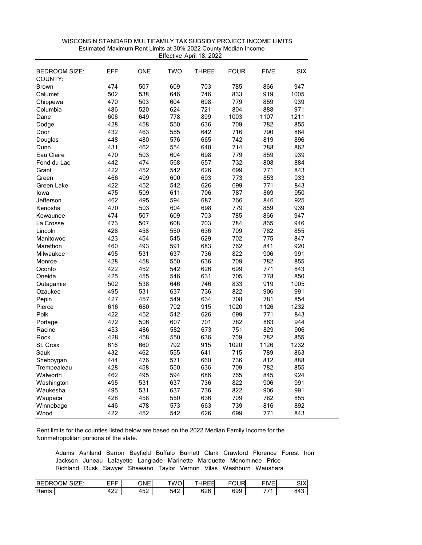| 474<br>507<br>609<br>703<br>785<br>947<br>866<br><b>Brown</b><br>538<br>646<br>746<br>833<br>Calumet<br>502<br>919<br>1005<br>470<br>503<br>604<br>698<br>779<br>859<br>939<br>Chippewa<br>520<br>624<br>721<br>804<br>971<br>Columbia<br>486<br>888<br>606<br>649<br>778<br>899<br>1003<br>1107<br>1211<br>Dane<br>428<br>458<br>550<br>636<br>709<br>782<br>855<br>Dodge<br>790<br>432<br>463<br>555<br>642<br>716<br>864<br>Door<br>448<br>480<br>576<br>665<br>742<br>819<br>896<br>Douglas<br>431<br>462<br>554<br>640<br>714<br>788<br>862<br>Dunn<br>Eau Claire<br>470<br>503<br>604<br>698<br>779<br>859<br>939<br>442<br>474<br>732<br>Fond du Lac<br>568<br>657<br>808<br>884<br>626<br>699<br>422<br>452<br>542<br>771<br>843<br>Grant<br>466<br>499<br>600<br>693<br>773<br>933<br>853<br>Green<br>626<br>699<br>771<br>Green Lake<br>422<br>452<br>542<br>843<br>475<br>509<br>611<br>706<br>787<br>869<br>950<br>lowa<br>462<br>495<br>594<br>687<br>766<br>925<br>Jefferson<br>846<br>470<br>503<br>698<br>779<br>859<br>939<br>Kenosha<br>604<br>474<br>507<br>609<br>703<br>785<br>947<br>866<br>Kewaunee<br>473<br>507<br>608<br>703<br>784<br>865<br>946<br>La Crosse<br>428<br>458<br>550<br>636<br>709<br>855<br>Lincoln<br>782<br>423<br>454<br>629<br>702<br>775<br>Manitowoc<br>545<br>847<br>493<br>762<br>460<br>591<br>683<br>841<br>920<br>Marathon<br>531<br>495<br>637<br>736<br>822<br>906<br>991<br>Milwaukee<br>709<br>428<br>458<br>550<br>636<br>782<br>855<br>Monroe<br>422<br>452<br>542<br>626<br>699<br>771<br>843<br>Oconto<br>425<br>455<br>546<br>631<br>705<br>778<br>850<br>Oneida<br>502<br>538<br>833<br>646<br>746<br>919<br>1005<br>Outagamie<br>495<br>531<br>637<br>822<br>991<br>736<br>906<br>Ozaukee<br>427<br>457<br>708<br>781<br>854<br>549<br>634<br>Pepin<br>616<br>660<br>792<br>915<br>1020<br>1126<br>1232<br>Pierce<br>452<br>626<br>699<br>771<br>843<br>422<br>542<br>Polk<br>472<br>506<br>944<br>607<br>701<br>782<br>863<br>Portage<br>453<br>486<br>582<br>673<br>751<br>829<br>906<br>Racine<br>428<br>458<br>550<br>636<br>709<br>782<br>855<br>Rock<br>616<br>660<br>792<br>915<br>1020<br>1126<br>1232<br>St. Croix<br>432<br>462<br>555<br>641<br>715<br>789<br>863<br>Sauk<br>444<br>476<br>571<br>660<br>736<br>812<br>888<br>Sheboygan<br>428<br>458<br>550<br>636<br>709<br>782<br>855<br>Trempealeau<br>462<br>495<br>594<br>686<br>765<br>845<br>924<br>Walworth<br>495<br>531<br>637<br>736<br>822<br>906<br>991<br>Washington<br>495<br>531<br>637<br>736<br>822<br>906<br>991<br>Waukesha<br>428<br>458<br>550<br>636<br>709<br>782<br>855<br>Waupaca<br>446<br>478<br>573<br>663<br>739<br>816<br>892<br>Winnebago | <b>BEDROOM SIZE:</b><br>COUNTY: | EFF. | ONE | <b>TWO</b> | <b>THREE</b> | <b>FOUR</b> | <b>FIVE</b> | <b>SIX</b> |
|-------------------------------------------------------------------------------------------------------------------------------------------------------------------------------------------------------------------------------------------------------------------------------------------------------------------------------------------------------------------------------------------------------------------------------------------------------------------------------------------------------------------------------------------------------------------------------------------------------------------------------------------------------------------------------------------------------------------------------------------------------------------------------------------------------------------------------------------------------------------------------------------------------------------------------------------------------------------------------------------------------------------------------------------------------------------------------------------------------------------------------------------------------------------------------------------------------------------------------------------------------------------------------------------------------------------------------------------------------------------------------------------------------------------------------------------------------------------------------------------------------------------------------------------------------------------------------------------------------------------------------------------------------------------------------------------------------------------------------------------------------------------------------------------------------------------------------------------------------------------------------------------------------------------------------------------------------------------------------------------------------------------------------------------------------------------------------------------------------------------------------------------------------------------------------------------------------------------------------------------------------------------------------------------------------------------------------------------------------------------------------------------------------------------------------------------------------------------------------------------------------------------------------------------------------------------------------------------------------------------------------------------------------------------------------------------------------|---------------------------------|------|-----|------------|--------------|-------------|-------------|------------|
|                                                                                                                                                                                                                                                                                                                                                                                                                                                                                                                                                                                                                                                                                                                                                                                                                                                                                                                                                                                                                                                                                                                                                                                                                                                                                                                                                                                                                                                                                                                                                                                                                                                                                                                                                                                                                                                                                                                                                                                                                                                                                                                                                                                                                                                                                                                                                                                                                                                                                                                                                                                                                                                                                                       |                                 |      |     |            |              |             |             |            |
|                                                                                                                                                                                                                                                                                                                                                                                                                                                                                                                                                                                                                                                                                                                                                                                                                                                                                                                                                                                                                                                                                                                                                                                                                                                                                                                                                                                                                                                                                                                                                                                                                                                                                                                                                                                                                                                                                                                                                                                                                                                                                                                                                                                                                                                                                                                                                                                                                                                                                                                                                                                                                                                                                                       |                                 |      |     |            |              |             |             |            |
|                                                                                                                                                                                                                                                                                                                                                                                                                                                                                                                                                                                                                                                                                                                                                                                                                                                                                                                                                                                                                                                                                                                                                                                                                                                                                                                                                                                                                                                                                                                                                                                                                                                                                                                                                                                                                                                                                                                                                                                                                                                                                                                                                                                                                                                                                                                                                                                                                                                                                                                                                                                                                                                                                                       |                                 |      |     |            |              |             |             |            |
|                                                                                                                                                                                                                                                                                                                                                                                                                                                                                                                                                                                                                                                                                                                                                                                                                                                                                                                                                                                                                                                                                                                                                                                                                                                                                                                                                                                                                                                                                                                                                                                                                                                                                                                                                                                                                                                                                                                                                                                                                                                                                                                                                                                                                                                                                                                                                                                                                                                                                                                                                                                                                                                                                                       |                                 |      |     |            |              |             |             |            |
|                                                                                                                                                                                                                                                                                                                                                                                                                                                                                                                                                                                                                                                                                                                                                                                                                                                                                                                                                                                                                                                                                                                                                                                                                                                                                                                                                                                                                                                                                                                                                                                                                                                                                                                                                                                                                                                                                                                                                                                                                                                                                                                                                                                                                                                                                                                                                                                                                                                                                                                                                                                                                                                                                                       |                                 |      |     |            |              |             |             |            |
|                                                                                                                                                                                                                                                                                                                                                                                                                                                                                                                                                                                                                                                                                                                                                                                                                                                                                                                                                                                                                                                                                                                                                                                                                                                                                                                                                                                                                                                                                                                                                                                                                                                                                                                                                                                                                                                                                                                                                                                                                                                                                                                                                                                                                                                                                                                                                                                                                                                                                                                                                                                                                                                                                                       |                                 |      |     |            |              |             |             |            |
|                                                                                                                                                                                                                                                                                                                                                                                                                                                                                                                                                                                                                                                                                                                                                                                                                                                                                                                                                                                                                                                                                                                                                                                                                                                                                                                                                                                                                                                                                                                                                                                                                                                                                                                                                                                                                                                                                                                                                                                                                                                                                                                                                                                                                                                                                                                                                                                                                                                                                                                                                                                                                                                                                                       |                                 |      |     |            |              |             |             |            |
|                                                                                                                                                                                                                                                                                                                                                                                                                                                                                                                                                                                                                                                                                                                                                                                                                                                                                                                                                                                                                                                                                                                                                                                                                                                                                                                                                                                                                                                                                                                                                                                                                                                                                                                                                                                                                                                                                                                                                                                                                                                                                                                                                                                                                                                                                                                                                                                                                                                                                                                                                                                                                                                                                                       |                                 |      |     |            |              |             |             |            |
|                                                                                                                                                                                                                                                                                                                                                                                                                                                                                                                                                                                                                                                                                                                                                                                                                                                                                                                                                                                                                                                                                                                                                                                                                                                                                                                                                                                                                                                                                                                                                                                                                                                                                                                                                                                                                                                                                                                                                                                                                                                                                                                                                                                                                                                                                                                                                                                                                                                                                                                                                                                                                                                                                                       |                                 |      |     |            |              |             |             |            |
|                                                                                                                                                                                                                                                                                                                                                                                                                                                                                                                                                                                                                                                                                                                                                                                                                                                                                                                                                                                                                                                                                                                                                                                                                                                                                                                                                                                                                                                                                                                                                                                                                                                                                                                                                                                                                                                                                                                                                                                                                                                                                                                                                                                                                                                                                                                                                                                                                                                                                                                                                                                                                                                                                                       |                                 |      |     |            |              |             |             |            |
|                                                                                                                                                                                                                                                                                                                                                                                                                                                                                                                                                                                                                                                                                                                                                                                                                                                                                                                                                                                                                                                                                                                                                                                                                                                                                                                                                                                                                                                                                                                                                                                                                                                                                                                                                                                                                                                                                                                                                                                                                                                                                                                                                                                                                                                                                                                                                                                                                                                                                                                                                                                                                                                                                                       |                                 |      |     |            |              |             |             |            |
|                                                                                                                                                                                                                                                                                                                                                                                                                                                                                                                                                                                                                                                                                                                                                                                                                                                                                                                                                                                                                                                                                                                                                                                                                                                                                                                                                                                                                                                                                                                                                                                                                                                                                                                                                                                                                                                                                                                                                                                                                                                                                                                                                                                                                                                                                                                                                                                                                                                                                                                                                                                                                                                                                                       |                                 |      |     |            |              |             |             |            |
|                                                                                                                                                                                                                                                                                                                                                                                                                                                                                                                                                                                                                                                                                                                                                                                                                                                                                                                                                                                                                                                                                                                                                                                                                                                                                                                                                                                                                                                                                                                                                                                                                                                                                                                                                                                                                                                                                                                                                                                                                                                                                                                                                                                                                                                                                                                                                                                                                                                                                                                                                                                                                                                                                                       |                                 |      |     |            |              |             |             |            |
|                                                                                                                                                                                                                                                                                                                                                                                                                                                                                                                                                                                                                                                                                                                                                                                                                                                                                                                                                                                                                                                                                                                                                                                                                                                                                                                                                                                                                                                                                                                                                                                                                                                                                                                                                                                                                                                                                                                                                                                                                                                                                                                                                                                                                                                                                                                                                                                                                                                                                                                                                                                                                                                                                                       |                                 |      |     |            |              |             |             |            |
|                                                                                                                                                                                                                                                                                                                                                                                                                                                                                                                                                                                                                                                                                                                                                                                                                                                                                                                                                                                                                                                                                                                                                                                                                                                                                                                                                                                                                                                                                                                                                                                                                                                                                                                                                                                                                                                                                                                                                                                                                                                                                                                                                                                                                                                                                                                                                                                                                                                                                                                                                                                                                                                                                                       |                                 |      |     |            |              |             |             |            |
|                                                                                                                                                                                                                                                                                                                                                                                                                                                                                                                                                                                                                                                                                                                                                                                                                                                                                                                                                                                                                                                                                                                                                                                                                                                                                                                                                                                                                                                                                                                                                                                                                                                                                                                                                                                                                                                                                                                                                                                                                                                                                                                                                                                                                                                                                                                                                                                                                                                                                                                                                                                                                                                                                                       |                                 |      |     |            |              |             |             |            |
|                                                                                                                                                                                                                                                                                                                                                                                                                                                                                                                                                                                                                                                                                                                                                                                                                                                                                                                                                                                                                                                                                                                                                                                                                                                                                                                                                                                                                                                                                                                                                                                                                                                                                                                                                                                                                                                                                                                                                                                                                                                                                                                                                                                                                                                                                                                                                                                                                                                                                                                                                                                                                                                                                                       |                                 |      |     |            |              |             |             |            |
|                                                                                                                                                                                                                                                                                                                                                                                                                                                                                                                                                                                                                                                                                                                                                                                                                                                                                                                                                                                                                                                                                                                                                                                                                                                                                                                                                                                                                                                                                                                                                                                                                                                                                                                                                                                                                                                                                                                                                                                                                                                                                                                                                                                                                                                                                                                                                                                                                                                                                                                                                                                                                                                                                                       |                                 |      |     |            |              |             |             |            |
|                                                                                                                                                                                                                                                                                                                                                                                                                                                                                                                                                                                                                                                                                                                                                                                                                                                                                                                                                                                                                                                                                                                                                                                                                                                                                                                                                                                                                                                                                                                                                                                                                                                                                                                                                                                                                                                                                                                                                                                                                                                                                                                                                                                                                                                                                                                                                                                                                                                                                                                                                                                                                                                                                                       |                                 |      |     |            |              |             |             |            |
|                                                                                                                                                                                                                                                                                                                                                                                                                                                                                                                                                                                                                                                                                                                                                                                                                                                                                                                                                                                                                                                                                                                                                                                                                                                                                                                                                                                                                                                                                                                                                                                                                                                                                                                                                                                                                                                                                                                                                                                                                                                                                                                                                                                                                                                                                                                                                                                                                                                                                                                                                                                                                                                                                                       |                                 |      |     |            |              |             |             |            |
|                                                                                                                                                                                                                                                                                                                                                                                                                                                                                                                                                                                                                                                                                                                                                                                                                                                                                                                                                                                                                                                                                                                                                                                                                                                                                                                                                                                                                                                                                                                                                                                                                                                                                                                                                                                                                                                                                                                                                                                                                                                                                                                                                                                                                                                                                                                                                                                                                                                                                                                                                                                                                                                                                                       |                                 |      |     |            |              |             |             |            |
|                                                                                                                                                                                                                                                                                                                                                                                                                                                                                                                                                                                                                                                                                                                                                                                                                                                                                                                                                                                                                                                                                                                                                                                                                                                                                                                                                                                                                                                                                                                                                                                                                                                                                                                                                                                                                                                                                                                                                                                                                                                                                                                                                                                                                                                                                                                                                                                                                                                                                                                                                                                                                                                                                                       |                                 |      |     |            |              |             |             |            |
|                                                                                                                                                                                                                                                                                                                                                                                                                                                                                                                                                                                                                                                                                                                                                                                                                                                                                                                                                                                                                                                                                                                                                                                                                                                                                                                                                                                                                                                                                                                                                                                                                                                                                                                                                                                                                                                                                                                                                                                                                                                                                                                                                                                                                                                                                                                                                                                                                                                                                                                                                                                                                                                                                                       |                                 |      |     |            |              |             |             |            |
|                                                                                                                                                                                                                                                                                                                                                                                                                                                                                                                                                                                                                                                                                                                                                                                                                                                                                                                                                                                                                                                                                                                                                                                                                                                                                                                                                                                                                                                                                                                                                                                                                                                                                                                                                                                                                                                                                                                                                                                                                                                                                                                                                                                                                                                                                                                                                                                                                                                                                                                                                                                                                                                                                                       |                                 |      |     |            |              |             |             |            |
|                                                                                                                                                                                                                                                                                                                                                                                                                                                                                                                                                                                                                                                                                                                                                                                                                                                                                                                                                                                                                                                                                                                                                                                                                                                                                                                                                                                                                                                                                                                                                                                                                                                                                                                                                                                                                                                                                                                                                                                                                                                                                                                                                                                                                                                                                                                                                                                                                                                                                                                                                                                                                                                                                                       |                                 |      |     |            |              |             |             |            |
|                                                                                                                                                                                                                                                                                                                                                                                                                                                                                                                                                                                                                                                                                                                                                                                                                                                                                                                                                                                                                                                                                                                                                                                                                                                                                                                                                                                                                                                                                                                                                                                                                                                                                                                                                                                                                                                                                                                                                                                                                                                                                                                                                                                                                                                                                                                                                                                                                                                                                                                                                                                                                                                                                                       |                                 |      |     |            |              |             |             |            |
|                                                                                                                                                                                                                                                                                                                                                                                                                                                                                                                                                                                                                                                                                                                                                                                                                                                                                                                                                                                                                                                                                                                                                                                                                                                                                                                                                                                                                                                                                                                                                                                                                                                                                                                                                                                                                                                                                                                                                                                                                                                                                                                                                                                                                                                                                                                                                                                                                                                                                                                                                                                                                                                                                                       |                                 |      |     |            |              |             |             |            |
|                                                                                                                                                                                                                                                                                                                                                                                                                                                                                                                                                                                                                                                                                                                                                                                                                                                                                                                                                                                                                                                                                                                                                                                                                                                                                                                                                                                                                                                                                                                                                                                                                                                                                                                                                                                                                                                                                                                                                                                                                                                                                                                                                                                                                                                                                                                                                                                                                                                                                                                                                                                                                                                                                                       |                                 |      |     |            |              |             |             |            |
|                                                                                                                                                                                                                                                                                                                                                                                                                                                                                                                                                                                                                                                                                                                                                                                                                                                                                                                                                                                                                                                                                                                                                                                                                                                                                                                                                                                                                                                                                                                                                                                                                                                                                                                                                                                                                                                                                                                                                                                                                                                                                                                                                                                                                                                                                                                                                                                                                                                                                                                                                                                                                                                                                                       |                                 |      |     |            |              |             |             |            |
|                                                                                                                                                                                                                                                                                                                                                                                                                                                                                                                                                                                                                                                                                                                                                                                                                                                                                                                                                                                                                                                                                                                                                                                                                                                                                                                                                                                                                                                                                                                                                                                                                                                                                                                                                                                                                                                                                                                                                                                                                                                                                                                                                                                                                                                                                                                                                                                                                                                                                                                                                                                                                                                                                                       |                                 |      |     |            |              |             |             |            |
|                                                                                                                                                                                                                                                                                                                                                                                                                                                                                                                                                                                                                                                                                                                                                                                                                                                                                                                                                                                                                                                                                                                                                                                                                                                                                                                                                                                                                                                                                                                                                                                                                                                                                                                                                                                                                                                                                                                                                                                                                                                                                                                                                                                                                                                                                                                                                                                                                                                                                                                                                                                                                                                                                                       |                                 |      |     |            |              |             |             |            |
|                                                                                                                                                                                                                                                                                                                                                                                                                                                                                                                                                                                                                                                                                                                                                                                                                                                                                                                                                                                                                                                                                                                                                                                                                                                                                                                                                                                                                                                                                                                                                                                                                                                                                                                                                                                                                                                                                                                                                                                                                                                                                                                                                                                                                                                                                                                                                                                                                                                                                                                                                                                                                                                                                                       |                                 |      |     |            |              |             |             |            |
|                                                                                                                                                                                                                                                                                                                                                                                                                                                                                                                                                                                                                                                                                                                                                                                                                                                                                                                                                                                                                                                                                                                                                                                                                                                                                                                                                                                                                                                                                                                                                                                                                                                                                                                                                                                                                                                                                                                                                                                                                                                                                                                                                                                                                                                                                                                                                                                                                                                                                                                                                                                                                                                                                                       |                                 |      |     |            |              |             |             |            |
|                                                                                                                                                                                                                                                                                                                                                                                                                                                                                                                                                                                                                                                                                                                                                                                                                                                                                                                                                                                                                                                                                                                                                                                                                                                                                                                                                                                                                                                                                                                                                                                                                                                                                                                                                                                                                                                                                                                                                                                                                                                                                                                                                                                                                                                                                                                                                                                                                                                                                                                                                                                                                                                                                                       |                                 |      |     |            |              |             |             |            |
|                                                                                                                                                                                                                                                                                                                                                                                                                                                                                                                                                                                                                                                                                                                                                                                                                                                                                                                                                                                                                                                                                                                                                                                                                                                                                                                                                                                                                                                                                                                                                                                                                                                                                                                                                                                                                                                                                                                                                                                                                                                                                                                                                                                                                                                                                                                                                                                                                                                                                                                                                                                                                                                                                                       |                                 |      |     |            |              |             |             |            |
|                                                                                                                                                                                                                                                                                                                                                                                                                                                                                                                                                                                                                                                                                                                                                                                                                                                                                                                                                                                                                                                                                                                                                                                                                                                                                                                                                                                                                                                                                                                                                                                                                                                                                                                                                                                                                                                                                                                                                                                                                                                                                                                                                                                                                                                                                                                                                                                                                                                                                                                                                                                                                                                                                                       |                                 |      |     |            |              |             |             |            |
|                                                                                                                                                                                                                                                                                                                                                                                                                                                                                                                                                                                                                                                                                                                                                                                                                                                                                                                                                                                                                                                                                                                                                                                                                                                                                                                                                                                                                                                                                                                                                                                                                                                                                                                                                                                                                                                                                                                                                                                                                                                                                                                                                                                                                                                                                                                                                                                                                                                                                                                                                                                                                                                                                                       |                                 |      |     |            |              |             |             |            |
|                                                                                                                                                                                                                                                                                                                                                                                                                                                                                                                                                                                                                                                                                                                                                                                                                                                                                                                                                                                                                                                                                                                                                                                                                                                                                                                                                                                                                                                                                                                                                                                                                                                                                                                                                                                                                                                                                                                                                                                                                                                                                                                                                                                                                                                                                                                                                                                                                                                                                                                                                                                                                                                                                                       |                                 |      |     |            |              |             |             |            |
|                                                                                                                                                                                                                                                                                                                                                                                                                                                                                                                                                                                                                                                                                                                                                                                                                                                                                                                                                                                                                                                                                                                                                                                                                                                                                                                                                                                                                                                                                                                                                                                                                                                                                                                                                                                                                                                                                                                                                                                                                                                                                                                                                                                                                                                                                                                                                                                                                                                                                                                                                                                                                                                                                                       |                                 |      |     |            |              |             |             |            |
|                                                                                                                                                                                                                                                                                                                                                                                                                                                                                                                                                                                                                                                                                                                                                                                                                                                                                                                                                                                                                                                                                                                                                                                                                                                                                                                                                                                                                                                                                                                                                                                                                                                                                                                                                                                                                                                                                                                                                                                                                                                                                                                                                                                                                                                                                                                                                                                                                                                                                                                                                                                                                                                                                                       |                                 |      |     |            |              |             |             |            |
|                                                                                                                                                                                                                                                                                                                                                                                                                                                                                                                                                                                                                                                                                                                                                                                                                                                                                                                                                                                                                                                                                                                                                                                                                                                                                                                                                                                                                                                                                                                                                                                                                                                                                                                                                                                                                                                                                                                                                                                                                                                                                                                                                                                                                                                                                                                                                                                                                                                                                                                                                                                                                                                                                                       |                                 |      |     |            |              |             |             |            |
|                                                                                                                                                                                                                                                                                                                                                                                                                                                                                                                                                                                                                                                                                                                                                                                                                                                                                                                                                                                                                                                                                                                                                                                                                                                                                                                                                                                                                                                                                                                                                                                                                                                                                                                                                                                                                                                                                                                                                                                                                                                                                                                                                                                                                                                                                                                                                                                                                                                                                                                                                                                                                                                                                                       |                                 |      |     |            |              |             |             |            |
| 422<br>452<br>626<br>699<br>843<br>542<br>771<br>Wood                                                                                                                                                                                                                                                                                                                                                                                                                                                                                                                                                                                                                                                                                                                                                                                                                                                                                                                                                                                                                                                                                                                                                                                                                                                                                                                                                                                                                                                                                                                                                                                                                                                                                                                                                                                                                                                                                                                                                                                                                                                                                                                                                                                                                                                                                                                                                                                                                                                                                                                                                                                                                                                 |                                 |      |     |            |              |             |             |            |

 WISCONSIN STANDARD MULTIFAMILY TAX SUBSIDY PROJECT INCOME LIMITS Effective April 18, 2022 Estimated Maximum Rent Limits at 30% 2022 County Median Income

| $- -$<br>$\sim$<br><b>IBED</b><br>JМ<br>או<br>м<br>--<br>` ວI∠⊏.<br>∼ | ---<br>---<br>-- | ONE  | TWOL        | $100 - 1$<br>$-1$<br>-<br>.<br>៶∟ι | ----<br>٠н.<br>ີ | <b>EILIE</b><br>M⊢<br>_ | $\sim$<br>∼יפ |
|-----------------------------------------------------------------------|------------------|------|-------------|------------------------------------|------------------|-------------------------|---------------|
| $\overline{\phantom{0}}$                                              | $\sim$           | ı ro | <b>F</b> A0 | 67A                                | 699              | 774                     | 843           |
| Rents:                                                                | .                | ےت⊦  | 542         | ◡∠◡                                | ບບບ              |                         |               |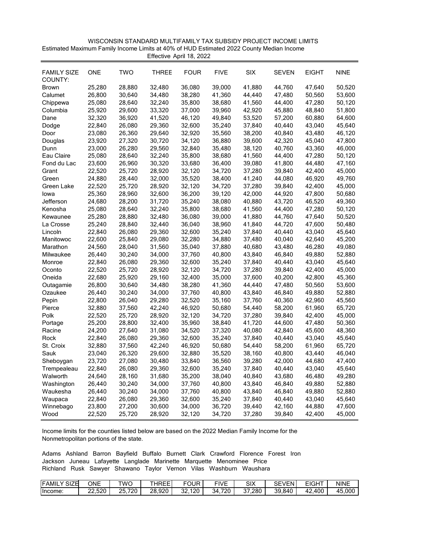| WISCONSIN STANDARD MULTIFAMILY TAX SUBSIDY PROJECT INCOME LIMITS                         |
|------------------------------------------------------------------------------------------|
| Estimated Maximum Family Income Limits at 40% of HUD Estimated 2022 County Median Income |
| Effective April 18, 2022                                                                 |

| <b>FAMILY SIZE</b><br>COUNTY: | <b>ONE</b> | <b>TWO</b> | <b>THREE</b> | <b>FOUR</b> | <b>FIVE</b> | <b>SIX</b> | <b>SEVEN</b> | <b>EIGHT</b> | <b>NINE</b> |
|-------------------------------|------------|------------|--------------|-------------|-------------|------------|--------------|--------------|-------------|
| Brown                         | 25,280     | 28,880     | 32,480       | 36,080      | 39,000      | 41,880     | 44,760       | 47,640       | 50,520      |
| Calumet                       | 26,800     | 30,640     | 34,480       | 38,280      | 41,360      | 44,440     | 47,480       | 50,560       | 53,600      |
| Chippewa                      | 25,080     | 28,640     | 32,240       | 35,800      | 38,680      | 41,560     | 44,400       | 47,280       | 50,120      |
| Columbia                      | 25,920     | 29,600     | 33,320       | 37,000      | 39,960      | 42,920     | 45,880       | 48,840       | 51,800      |
| Dane                          | 32,320     | 36,920     | 41,520       | 46,120      | 49,840      | 53,520     | 57,200       | 60,880       | 64,600      |
| Dodge                         | 22,840     | 26,080     | 29,360       | 32,600      | 35,240      | 37,840     | 40,440       | 43,040       | 45,640      |
| Door                          | 23,080     | 26,360     | 29,640       | 32,920      | 35,560      | 38,200     | 40,840       | 43,480       | 46,120      |
| Douglas                       | 23,920     | 27,320     | 30,720       | 34,120      | 36,880      | 39,600     | 42,320       | 45,040       | 47,800      |
| Dunn                          | 23,000     | 26,280     | 29,560       | 32,840      | 35,480      | 38,120     | 40,760       | 43,360       | 46,000      |
| Eau Claire                    | 25,080     | 28,640     | 32,240       | 35,800      | 38,680      | 41,560     | 44,400       | 47,280       | 50,120      |
| Fond du Lac                   | 23,600     | 26,960     | 30,320       | 33,680      | 36,400      | 39,080     | 41,800       | 44,480       | 47,160      |
| Grant                         | 22,520     | 25,720     | 28,920       | 32,120      | 34,720      | 37,280     | 39,840       | 42,400       | 45,000      |
| Green                         | 24,880     | 28,440     | 32,000       | 35,520      | 38,400      | 41,240     | 44,080       | 46,920       | 49,760      |
| Green Lake                    | 22,520     | 25,720     | 28,920       | 32,120      | 34,720      | 37,280     | 39,840       | 42,400       | 45,000      |
| lowa                          | 25,360     | 28,960     | 32,600       | 36,200      | 39,120      | 42,000     | 44,920       | 47,800       | 50,680      |
| Jefferson                     | 24,680     | 28,200     | 31,720       | 35,240      | 38,080      | 40,880     | 43,720       | 46,520       | 49,360      |
| Kenosha                       | 25,080     | 28,640     | 32,240       | 35,800      | 38,680      | 41,560     | 44,400       | 47,280       | 50,120      |
| Kewaunee                      | 25,280     | 28,880     | 32,480       | 36,080      | 39,000      | 41,880     | 44,760       | 47,640       | 50,520      |
| La Crosse                     | 25,240     | 28,840     | 32,440       | 36,040      | 38,960      | 41,840     | 44,720       | 47,600       | 50,480      |
| Lincoln                       | 22,840     | 26,080     | 29,360       | 32,600      | 35,240      | 37,840     | 40,440       | 43,040       | 45,640      |
| Manitowoc                     | 22,600     | 25,840     | 29,080       | 32,280      | 34,880      | 37,480     | 40,040       | 42,640       | 45,200      |
| Marathon                      | 24,560     | 28,040     | 31,560       | 35,040      | 37,880      | 40,680     | 43,480       | 46,280       | 49,080      |
| Milwaukee                     | 26,440     | 30,240     | 34,000       | 37,760      | 40,800      | 43,840     | 46,840       | 49,880       | 52,880      |
| Monroe                        | 22,840     | 26,080     | 29,360       | 32,600      | 35,240      | 37,840     | 40,440       | 43,040       | 45,640      |
| Oconto                        | 22,520     | 25,720     | 28,920       | 32,120      | 34,720      | 37,280     | 39,840       | 42,400       | 45,000      |
| Oneida                        | 22,680     | 25,920     | 29,160       | 32,400      | 35,000      | 37,600     | 40,200       | 42,800       | 45,360      |
| Outagamie                     | 26,800     | 30,640     | 34,480       | 38,280      | 41,360      | 44,440     | 47,480       | 50,560       | 53,600      |
| Ozaukee                       | 26,440     | 30,240     | 34,000       | 37,760      | 40,800      | 43,840     | 46,840       | 49,880       | 52,880      |
| Pepin                         | 22,800     | 26,040     | 29,280       | 32,520      | 35,160      | 37,760     | 40,360       | 42,960       | 45,560      |
| Pierce                        | 32,880     | 37,560     | 42,240       | 46,920      | 50,680      | 54,440     | 58,200       | 61,960       | 65,720      |
| Polk                          | 22,520     | 25,720     | 28,920       | 32,120      | 34,720      | 37,280     | 39,840       | 42,400       | 45,000      |
| Portage                       | 25,200     | 28,800     | 32,400       | 35,960      | 38,840      | 41,720     | 44,600       | 47,480       | 50,360      |
| Racine                        | 24,200     | 27,640     | 31,080       | 34,520      | 37,320      | 40,080     | 42,840       | 45,600       | 48,360      |
| Rock                          | 22,840     | 26,080     | 29,360       | 32,600      | 35,240      | 37,840     | 40,440       | 43,040       | 45,640      |
| St. Croix                     | 32,880     | 37,560     | 42,240       | 46,920      | 50,680      | 54,440     | 58,200       | 61,960       | 65,720      |
| Sauk                          | 23,040     | 26,320     | 29,600       | 32,880      | 35,520      | 38,160     | 40,800       | 43,440       | 46,040      |
| Sheboygan                     | 23,720     | 27,080     | 30,480       | 33,840      | 36,560      | 39,280     | 42,000       | 44,680       | 47,400      |
| Trempealeau                   | 22,840     | 26,080     | 29,360       | 32,600      | 35,240      | 37,840     | 40,440       | 43,040       | 45,640      |
| Walworth                      | 24,640     | 28,160     | 31,680       | 35,200      | 38,040      | 40,840     | 43,680       | 46,480       | 49,280      |
| Washington                    | 26,440     | 30,240     | 34,000       | 37,760      | 40,800      | 43,840     | 46,840       | 49,880       | 52,880      |
| Waukesha                      | 26,440     | 30,240     | 34,000       | 37,760      | 40,800      | 43,840     | 46,840       | 49,880       | 52,880      |
| Waupaca                       | 22,840     | 26,080     | 29,360       | 32,600      | 35,240      | 37,840     | 40,440       | 43,040       | 45,640      |
| Winnebago                     | 23,800     | 27,200     | 30,600       | 34,000      | 36,720      | 39,440     | 42,160       | 44,880       | 47,600      |
| Wood                          | 22,520     | 25,720     | 28,920       | 32,120      | 34,720      | 37,280     | 39,840       | 42,400       | 45,000      |

| <b>IFAMIL</b><br>SIZE<br>v | ONE                     | TWC            | JDEE<br>- 1<br>◝ | FOUR<br>ັ        | r n<br>$\cdot$<br>$-1V$ .<br>ــ | SIX       | <b>CEV</b><br>VFN<br>◡⊏ | <b>CIOUT</b><br>--<br>$\bf{u}$ | <b>NINE</b> |
|----------------------------|-------------------------|----------------|------------------|------------------|---------------------------------|-----------|-------------------------|--------------------------------|-------------|
| Income:                    | よつの<br>$\sim$<br>22.JZU | つに<br>720<br>້ | .920<br>28       | 120<br>n n<br>ےכ | 720<br>34                       | 280<br>~- | ٦۵<br>.840<br>ບບ<br>. ب | 400<br>44.                     | 45,000      |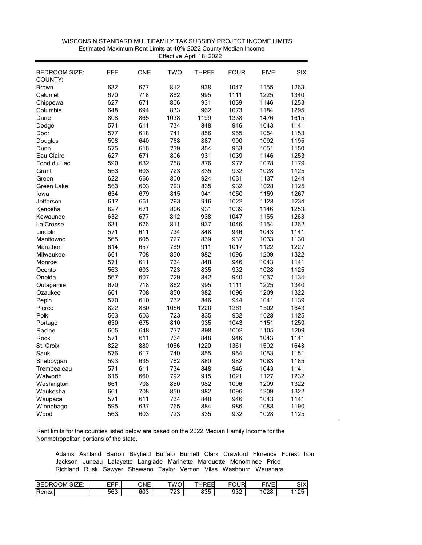| <b>BEDROOM SIZE:</b><br>COUNTY: | EFF. | <b>ONE</b> | <b>TWO</b> | <b>THREE</b> | <b>FOUR</b> | <b>FIVE</b> | <b>SIX</b> |
|---------------------------------|------|------------|------------|--------------|-------------|-------------|------------|
| <b>Brown</b>                    | 632  | 677        | 812        | 938          | 1047        | 1155        | 1263       |
| Calumet                         | 670  | 718        | 862        | 995          | 1111        | 1225        | 1340       |
|                                 | 627  | 671        | 806        | 931          | 1039        | 1146        | 1253       |
| Chippewa<br>Columbia            | 648  | 694        | 833        | 962          | 1073        | 1184        | 1295       |
| Dane                            | 808  | 865        | 1038       | 1199         | 1338        | 1476        | 1615       |
|                                 |      |            |            |              | 946         |             |            |
| Dodge                           | 571  | 611        | 734        | 848          |             | 1043        | 1141       |
| Door                            | 577  | 618        | 741        | 856          | 955         | 1054        | 1153       |
| Douglas                         | 598  | 640        | 768        | 887          | 990         | 1092        | 1195       |
| Dunn                            | 575  | 616        | 739        | 854          | 953         | 1051        | 1150       |
| Eau Claire                      | 627  | 671        | 806        | 931          | 1039        | 1146        | 1253       |
| Fond du Lac                     | 590  | 632        | 758        | 876          | 977         | 1078        | 1179       |
| Grant                           | 563  | 603        | 723        | 835          | 932         | 1028        | 1125       |
| Green                           | 622  | 666        | 800        | 924          | 1031        | 1137        | 1244       |
| Green Lake                      | 563  | 603        | 723        | 835          | 932         | 1028        | 1125       |
| lowa                            | 634  | 679        | 815        | 941          | 1050        | 1159        | 1267       |
| Jefferson                       | 617  | 661        | 793        | 916          | 1022        | 1128        | 1234       |
| Kenosha                         | 627  | 671        | 806        | 931          | 1039        | 1146        | 1253       |
| Kewaunee                        | 632  | 677        | 812        | 938          | 1047        | 1155        | 1263       |
| La Crosse                       | 631  | 676        | 811        | 937          | 1046        | 1154        | 1262       |
| Lincoln                         | 571  | 611        | 734        | 848          | 946         | 1043        | 1141       |
| Manitowoc                       | 565  | 605        | 727        | 839          | 937         | 1033        | 1130       |
| Marathon                        | 614  | 657        | 789        | 911          | 1017        | 1122        | 1227       |
| Milwaukee                       | 661  | 708        | 850        | 982          | 1096        | 1209        | 1322       |
| Monroe                          | 571  | 611        | 734        | 848          | 946         | 1043        | 1141       |
| Oconto                          | 563  | 603        | 723        | 835          | 932         | 1028        | 1125       |
| Oneida                          | 567  | 607        | 729        | 842          | 940         | 1037        | 1134       |
| Outagamie                       | 670  | 718        | 862        | 995          | 1111        | 1225        | 1340       |
| Ozaukee                         | 661  | 708        | 850        | 982          | 1096        | 1209        | 1322       |
| Pepin                           | 570  | 610        | 732        | 846          | 944         | 1041        | 1139       |
| Pierce                          | 822  | 880        | 1056       | 1220         | 1361        | 1502        | 1643       |
| Polk                            | 563  | 603        | 723        | 835          | 932         | 1028        | 1125       |
| Portage                         | 630  | 675        | 810        | 935          | 1043        | 1151        | 1259       |
| Racine                          | 605  | 648        | 777        | 898          | 1002        | 1105        | 1209       |
| Rock                            | 571  | 611        | 734        | 848          | 946         | 1043        | 1141       |
| St. Croix                       | 822  | 880        | 1056       | 1220         | 1361        | 1502        | 1643       |
| Sauk                            | 576  | 617        | 740        | 855          | 954         | 1053        | 1151       |
| Sheboygan                       | 593  | 635        | 762        | 880          | 982         | 1083        | 1185       |
| Trempealeau                     | 571  | 611        | 734        | 848          | 946         | 1043        | 1141       |
| Walworth                        | 616  | 660        | 792        | 915          | 1021        | 1127        | 1232       |
| Washington                      | 661  | 708        | 850        | 982          | 1096        | 1209        | 1322       |
| Waukesha                        | 661  | 708        | 850        | 982          | 1096        | 1209        | 1322       |
| Waupaca                         | 571  | 611        | 734        | 848          | 946         | 1043        | 1141       |
| Winnebago                       | 595  | 637        | 765        | 884          | 986         | 1088        | 1190       |
| Wood                            | 563  | 603        | 723        | 835          | 932         | 1028        | 1125       |
|                                 |      |            |            |              |             |             |            |

 WISCONSIN STANDARD MULTIFAMILY TAX SUBSIDY PROJECT INCOME LIMITS Effective April 18, 2022 Estimated Maximum Rent Limits at 40% 2022 County Median Income

| SIZE:<br>BE<br>ΟM<br>м<br>، س | ---<br>---<br>- 1 | ONEI          | TWC                         | JDEd<br>-<br>៶∟∟   | FOUR<br>◡      | <b>FILIP</b><br>$\mathbf{v}$<br>$\overline{\phantom{a}}$ | $\sim$<br>∼ا⊂  |
|-------------------------------|-------------------|---------------|-----------------------------|--------------------|----------------|----------------------------------------------------------|----------------|
| Rents:                        | -00<br>ხხპ        | $\sim$<br>ხ∪ა | $\neg \wedge \wedge$<br>2 J | oor<br>-21-<br>ບບບ | $\sim$<br>JJZ. | 1000<br>vza                                              | $\sim$<br>$-1$ |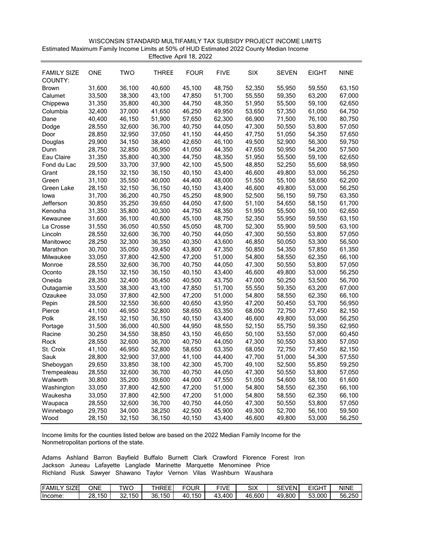| WISCONSIN STANDARD MULTIFAMILY TAX SUBSIDY PROJECT INCOME LIMITS                         |
|------------------------------------------------------------------------------------------|
| Estimated Maximum Family Income Limits at 50% of HUD Estimated 2022 County Median Income |
| Effective April 18, 2022                                                                 |

| <b>FAMILY SIZE</b><br>COUNTY: | <b>ONE</b> | <b>TWO</b> | <b>THREE</b> | <b>FOUR</b> | <b>FIVE</b> | SIX    | <b>SEVEN</b> | <b>EIGHT</b> | <b>NINE</b> |
|-------------------------------|------------|------------|--------------|-------------|-------------|--------|--------------|--------------|-------------|
| <b>Brown</b>                  | 31,600     | 36,100     | 40,600       | 45,100      | 48,750      | 52,350 | 55,950       | 59,550       | 63,150      |
| Calumet                       | 33,500     | 38,300     | 43,100       | 47,850      | 51,700      | 55,550 | 59,350       | 63,200       | 67,000      |
| Chippewa                      | 31,350     | 35,800     | 40,300       | 44,750      | 48,350      | 51,950 | 55,500       | 59,100       | 62,650      |
| Columbia                      | 32,400     | 37,000     | 41,650       | 46,250      | 49,950      | 53,650 | 57,350       | 61,050       | 64,750      |
| Dane                          | 40,400     | 46,150     | 51,900       | 57,650      | 62,300      | 66,900 | 71,500       | 76,100       | 80,750      |
| Dodge                         | 28,550     | 32,600     | 36,700       | 40,750      | 44,050      | 47,300 | 50,550       | 53,800       | 57,050      |
| Door                          | 28,850     | 32,950     | 37,050       | 41,150      | 44,450      | 47,750 | 51,050       | 54,350       | 57,650      |
| Douglas                       | 29,900     | 34,150     | 38,400       | 42,650      | 46,100      | 49,500 | 52,900       | 56,300       | 59,750      |
| Dunn                          | 28,750     | 32,850     | 36,950       | 41,050      | 44,350      | 47,650 | 50,950       | 54,200       | 57,500      |
| Eau Claire                    | 31,350     | 35,800     | 40,300       | 44,750      | 48,350      | 51,950 | 55,500       | 59,100       | 62,650      |
| Fond du Lac                   | 29,500     | 33,700     | 37,900       | 42,100      | 45,500      | 48,850 | 52,250       | 55,600       | 58,950      |
| Grant                         | 28,150     | 32,150     | 36,150       | 40,150      | 43,400      | 46,600 | 49,800       | 53,000       | 56,250      |
| Green                         | 31,100     | 35,550     | 40,000       | 44,400      | 48,000      | 51,550 | 55,100       | 58,650       | 62,200      |
| Green Lake                    | 28,150     | 32,150     | 36,150       | 40,150      | 43,400      | 46,600 | 49,800       | 53,000       | 56,250      |
| lowa                          | 31,700     | 36,200     | 40,750       | 45,250      | 48,900      | 52,500 | 56,150       | 59,750       | 63,350      |
| Jefferson                     | 30,850     | 35,250     | 39,650       | 44,050      | 47,600      | 51,100 | 54,650       | 58,150       | 61,700      |
| Kenosha                       | 31,350     | 35,800     | 40,300       | 44,750      | 48,350      | 51,950 | 55,500       | 59,100       | 62,650      |
| Kewaunee                      | 31,600     | 36,100     | 40,600       | 45,100      | 48,750      | 52,350 | 55,950       | 59,550       | 63,150      |
| La Crosse                     | 31,550     | 36,050     | 40,550       | 45,050      | 48,700      | 52,300 | 55,900       | 59,500       | 63,100      |
| Lincoln                       | 28,550     | 32,600     | 36,700       | 40,750      | 44,050      | 47,300 | 50,550       | 53,800       | 57,050      |
| Manitowoc                     | 28,250     | 32,300     | 36,350       | 40,350      | 43,600      | 46,850 | 50,050       | 53,300       | 56,500      |
| Marathon                      | 30,700     | 35,050     | 39,450       | 43,800      | 47,350      | 50,850 | 54,350       | 57,850       | 61,350      |
| Milwaukee                     | 33,050     | 37,800     | 42,500       | 47,200      | 51,000      | 54,800 | 58,550       | 62,350       | 66,100      |
| Monroe                        | 28,550     | 32,600     | 36,700       | 40,750      | 44,050      | 47,300 | 50,550       | 53,800       | 57,050      |
| Oconto                        | 28,150     | 32,150     | 36,150       | 40,150      | 43,400      | 46,600 | 49,800       | 53,000       | 56,250      |
| Oneida                        | 28,350     | 32,400     | 36,450       | 40,500      | 43,750      | 47,000 | 50,250       | 53,500       | 56,700      |
| Outagamie                     | 33,500     | 38,300     | 43,100       | 47,850      | 51,700      | 55,550 | 59,350       | 63,200       | 67,000      |
| Ozaukee                       | 33,050     | 37,800     | 42,500       | 47,200      | 51,000      | 54,800 | 58,550       | 62,350       | 66,100      |
| Pepin                         | 28,500     | 32,550     | 36,600       | 40,650      | 43,950      | 47,200 | 50,450       | 53,700       | 56,950      |
| Pierce                        | 41,100     | 46,950     | 52,800       | 58,650      | 63,350      | 68,050 | 72,750       | 77,450       | 82,150      |
| Polk                          | 28,150     | 32,150     | 36,150       | 40,150      | 43,400      | 46,600 | 49,800       | 53,000       | 56,250      |
| Portage                       | 31,500     | 36,000     | 40,500       | 44,950      | 48,550      | 52,150 | 55,750       | 59,350       | 62,950      |
| Racine                        | 30,250     | 34,550     | 38,850       | 43,150      | 46,650      | 50,100 | 53,550       | 57,000       | 60,450      |
| Rock                          | 28,550     | 32,600     | 36,700       | 40,750      | 44,050      | 47,300 | 50,550       | 53,800       | 57,050      |
| St. Croix                     | 41,100     | 46,950     | 52,800       | 58,650      | 63,350      | 68,050 | 72,750       | 77,450       | 82,150      |
| Sauk                          | 28,800     | 32,900     | 37,000       | 41,100      | 44,400      | 47,700 | 51,000       | 54,300       | 57,550      |
| Sheboygan                     | 29,650     | 33,850     | 38,100       | 42,300      | 45,700      | 49,100 | 52,500       | 55,850       | 59,250      |
| Trempealeau                   | 28,550     | 32,600     | 36,700       | 40,750      | 44,050      | 47,300 | 50,550       | 53,800       | 57,050      |
| Walworth                      | 30,800     | 35,200     | 39,600       | 44,000      | 47,550      | 51,050 | 54,600       | 58,100       | 61,600      |
| Washington                    | 33,050     | 37,800     | 42,500       | 47,200      | 51,000      | 54,800 | 58,550       | 62,350       | 66,100      |
| Waukesha                      | 33,050     | 37,800     | 42,500       | 47,200      | 51,000      | 54,800 | 58,550       | 62,350       | 66,100      |
| Waupaca                       | 28,550     | 32,600     | 36,700       | 40,750      | 44,050      | 47,300 | 50,550       | 53,800       | 57,050      |
| Winnebago                     | 29,750     | 34,000     | 38,250       | 42,500      | 45,900      | 49,300 | 52,700       | 56,100       | 59,500      |
| Wood                          | 28,150     | 32,150     | 36,150       | 40,150      | 43,400      | 46,600 | 49,800       | 53,000       | 56,250      |

| <b>FAMIL</b><br>CIZE<br>⊐∟ט | ONE                      | TWC                 | HREE <sup>®</sup><br>-. | FOUR      | <b>FIVF</b><br>- | <b>SIX</b> | <b>SEVEN'</b> | $\sim$ 10 $\sim$ 10 $\sim$<br>. | NINE   |
|-----------------------------|--------------------------|---------------------|-------------------------|-----------|------------------|------------|---------------|---------------------------------|--------|
| Income                      | $-2$<br>28<br>. .<br>15U | 150<br>$\sim$<br>ےں | $-2$<br>36<br>∣5U       | 150<br>40 | 400<br>. 4ა.     | 46.600     | 49.800        | 53,000                          | 56.250 |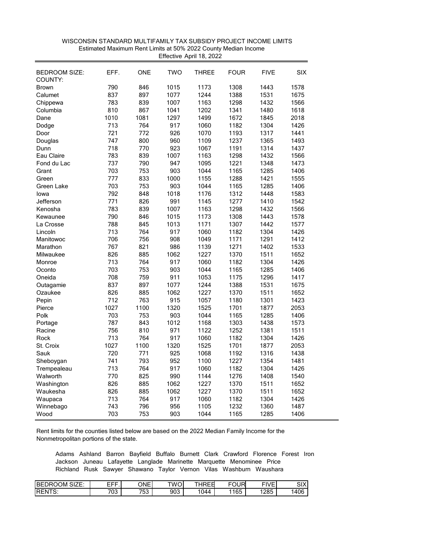| <b>BEDROOM SIZE:</b><br>COUNTY: | EFF. | <b>ONE</b> | <b>TWO</b>   | THREE | <b>FOUR</b>  | <b>FIVE</b>  | <b>SIX</b>   |
|---------------------------------|------|------------|--------------|-------|--------------|--------------|--------------|
| <b>Brown</b>                    | 790  | 846        | 1015         | 1173  | 1308         | 1443         | 1578         |
| Calumet                         | 837  | 897        | 1077         | 1244  | 1388         | 1531         | 1675         |
|                                 | 783  | 839        |              |       |              |              |              |
| Chippewa                        |      |            | 1007<br>1041 | 1163  | 1298<br>1341 | 1432<br>1480 | 1566<br>1618 |
| Columbia<br>Dane                | 810  | 867        |              | 1202  |              |              |              |
|                                 | 1010 | 1081       | 1297         | 1499  | 1672         | 1845         | 2018         |
| Dodge                           | 713  | 764        | 917          | 1060  | 1182         | 1304         | 1426         |
| Door                            | 721  | 772        | 926          | 1070  | 1193         | 1317         | 1441         |
| Douglas                         | 747  | 800        | 960          | 1109  | 1237         | 1365         | 1493         |
| Dunn                            | 718  | 770        | 923          | 1067  | 1191         | 1314         | 1437         |
| Eau Claire                      | 783  | 839        | 1007         | 1163  | 1298         | 1432         | 1566         |
| Fond du Lac                     | 737  | 790        | 947          | 1095  | 1221         | 1348         | 1473         |
| Grant                           | 703  | 753        | 903          | 1044  | 1165         | 1285         | 1406         |
| Green                           | 777  | 833        | 1000         | 1155  | 1288         | 1421         | 1555         |
| Green Lake                      | 703  | 753        | 903          | 1044  | 1165         | 1285         | 1406         |
| lowa                            | 792  | 848        | 1018         | 1176  | 1312         | 1448         | 1583         |
| Jefferson                       | 771  | 826        | 991          | 1145  | 1277         | 1410         | 1542         |
| Kenosha                         | 783  | 839        | 1007         | 1163  | 1298         | 1432         | 1566         |
| Kewaunee                        | 790  | 846        | 1015         | 1173  | 1308         | 1443         | 1578         |
| La Crosse                       | 788  | 845        | 1013         | 1171  | 1307         | 1442         | 1577         |
| Lincoln                         | 713  | 764        | 917          | 1060  | 1182         | 1304         | 1426         |
| Manitowoc                       | 706  | 756        | 908          | 1049  | 1171         | 1291         | 1412         |
| Marathon                        | 767  | 821        | 986          | 1139  | 1271         | 1402         | 1533         |
| Milwaukee                       | 826  | 885        | 1062         | 1227  | 1370         | 1511         | 1652         |
| Monroe                          | 713  | 764        | 917          | 1060  | 1182         | 1304         | 1426         |
| Oconto                          | 703  | 753        | 903          | 1044  | 1165         | 1285         | 1406         |
| Oneida                          | 708  | 759        | 911          | 1053  | 1175         | 1296         | 1417         |
| Outagamie                       | 837  | 897        | 1077         | 1244  | 1388         | 1531         | 1675         |
| Ozaukee                         | 826  | 885        | 1062         | 1227  | 1370         | 1511         | 1652         |
| Pepin                           | 712  | 763        | 915          | 1057  | 1180         | 1301         | 1423         |
| Pierce                          | 1027 | 1100       | 1320         | 1525  | 1701         | 1877         | 2053         |
| Polk                            | 703  | 753        | 903          | 1044  | 1165         | 1285         | 1406         |
| Portage                         | 787  | 843        | 1012         | 1168  | 1303         | 1438         | 1573         |
| Racine                          | 756  | 810        | 971          | 1122  | 1252         | 1381         | 1511         |
| Rock                            | 713  | 764        | 917          | 1060  | 1182         | 1304         | 1426         |
| St. Croix                       | 1027 | 1100       | 1320         | 1525  | 1701         | 1877         | 2053         |
| Sauk                            | 720  | 771        | 925          | 1068  | 1192         | 1316         | 1438         |
| Sheboygan                       | 741  | 793        | 952          | 1100  | 1227         | 1354         | 1481         |
| Trempealeau                     | 713  | 764        | 917          | 1060  | 1182         | 1304         | 1426         |
| Walworth                        | 770  | 825        | 990          | 1144  | 1276         | 1408         | 1540         |
| Washington                      | 826  | 885        | 1062         | 1227  | 1370         | 1511         | 1652         |
| Waukesha                        | 826  | 885        | 1062         | 1227  | 1370         | 1511         | 1652         |
| Waupaca                         | 713  | 764        | 917          | 1060  | 1182         | 1304         | 1426         |
|                                 | 743  | 796        | 956          | 1105  | 1232         | 1360         | 1487         |
| Winnebago                       | 703  | 753        | 903          |       | 1165         | 1285         | 1406         |
| Wood                            |      |            |              | 1044  |              |              |              |

 WISCONSIN STANDARD MULTIFAMILY TAX SUBSIDY PROJECT INCOME LIMITS Effective April 18, 2022 Estimated Maximum Rent Limits at 50% 2022 County Median Income

| <b>BED</b><br>$\sim$<br>ж.<br>JМ<br>′ ⊢<br>м<br>SIZE. | ---<br>---<br>-- | ONEI                | TWO<br>. ت | JDEO<br>$- \cdot$<br>-<br>៶∟ι | ----<br>'н٠ | <b>FIVF</b><br>- | $\sim$<br>л<br>◡╷ |
|-------------------------------------------------------|------------------|---------------------|------------|-------------------------------|-------------|------------------|-------------------|
| <b>IREN</b><br>$-2$<br>J.                             | フハつ<br>vu        | $  \sim$<br>.<br>ັບ | 903        | $\sim$<br>1144<br>v           | , 165<br>ັບ | 1285             | 406               |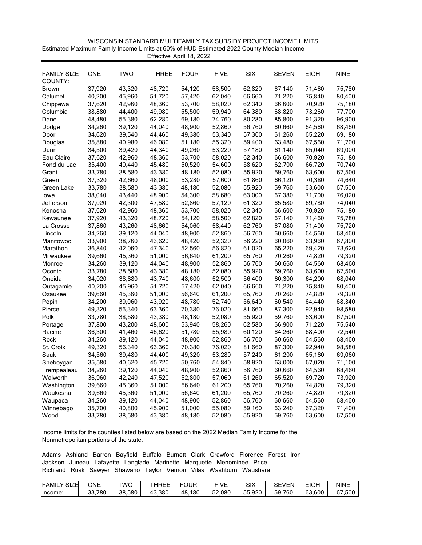| WISCONSIN STANDARD MULTIFAMILY TAX SUBSIDY PROJECT INCOME LIMITS                         |
|------------------------------------------------------------------------------------------|
| Estimated Maximum Family Income Limits at 60% of HUD Estimated 2022 County Median Income |
| Effective April 18, 2022                                                                 |

| FAMILY SIZE  | <b>ONE</b> | <b>TWO</b>       | <b>THREE</b> | <b>FOUR</b> | <b>FIVE</b>      | <b>SIX</b>       | <b>SEVEN</b>     | EIGHT  | <b>NINE</b>      |
|--------------|------------|------------------|--------------|-------------|------------------|------------------|------------------|--------|------------------|
| COUNTY:      | 37,920     | 43,320           | 48,720       |             | 58,500           | 62,820           |                  | 71,460 |                  |
| <b>Brown</b> |            | 45,960           | 51,720       | 54,120      | 62,040           | 66,660           | 67,140<br>71,220 | 75,840 | 75,780<br>80,400 |
| Calumet      | 40,200     | 42,960           | 48,360       | 57,420      | 58,020           | 62,340           |                  | 70,920 | 75,180           |
| Chippewa     | 37,620     |                  |              | 53,700      |                  |                  | 66,600           | 73,260 |                  |
| Columbia     | 38,880     | 44,400<br>55,380 | 49,980       | 55,500      | 59,940<br>74,760 | 64,380<br>80,280 | 68,820           | 91,320 | 77,700<br>96,900 |
| Dane         | 48,480     |                  | 62,280       | 69,180      |                  |                  | 85,800           |        |                  |
| Dodge        | 34,260     | 39,120           | 44,040       | 48,900      | 52,860           | 56,760           | 60,660           | 64,560 | 68,460           |
| Door         | 34,620     | 39,540           | 44,460       | 49,380      | 53,340           | 57,300           | 61,260           | 65,220 | 69,180           |
| Douglas      | 35,880     | 40,980           | 46,080       | 51,180      | 55,320           | 59,400           | 63,480           | 67,560 | 71,700           |
| Dunn         | 34,500     | 39,420           | 44,340       | 49,260      | 53,220           | 57,180           | 61,140           | 65,040 | 69,000           |
| Eau Claire   | 37,620     | 42,960           | 48,360       | 53,700      | 58,020           | 62,340           | 66,600           | 70,920 | 75,180           |
| Fond du Lac  | 35,400     | 40,440           | 45,480       | 50,520      | 54,600           | 58,620           | 62,700           | 66,720 | 70,740           |
| Grant        | 33,780     | 38,580           | 43,380       | 48,180      | 52,080           | 55,920           | 59,760           | 63,600 | 67,500           |
| Green        | 37,320     | 42,660           | 48,000       | 53,280      | 57,600           | 61,860           | 66,120           | 70,380 | 74,640           |
| Green Lake   | 33,780     | 38,580           | 43,380       | 48,180      | 52,080           | 55,920           | 59,760           | 63,600 | 67,500           |
| lowa         | 38,040     | 43,440           | 48,900       | 54,300      | 58,680           | 63,000           | 67,380           | 71,700 | 76,020           |
| Jefferson    | 37,020     | 42,300           | 47,580       | 52,860      | 57,120           | 61,320           | 65,580           | 69,780 | 74,040           |
| Kenosha      | 37,620     | 42,960           | 48,360       | 53,700      | 58,020           | 62,340           | 66,600           | 70,920 | 75,180           |
| Kewaunee     | 37,920     | 43,320           | 48,720       | 54,120      | 58,500           | 62,820           | 67,140           | 71,460 | 75,780           |
| La Crosse    | 37,860     | 43,260           | 48,660       | 54,060      | 58,440           | 62,760           | 67,080           | 71,400 | 75,720           |
| Lincoln      | 34,260     | 39,120           | 44,040       | 48,900      | 52,860           | 56,760           | 60,660           | 64,560 | 68,460           |
| Manitowoc    | 33,900     | 38,760           | 43,620       | 48,420      | 52,320           | 56,220           | 60,060           | 63,960 | 67,800           |
| Marathon     | 36,840     | 42,060           | 47,340       | 52,560      | 56,820           | 61,020           | 65,220           | 69,420 | 73,620           |
| Milwaukee    | 39,660     | 45,360           | 51,000       | 56,640      | 61,200           | 65,760           | 70,260           | 74,820 | 79,320           |
| Monroe       | 34,260     | 39,120           | 44,040       | 48,900      | 52,860           | 56,760           | 60,660           | 64,560 | 68,460           |
| Oconto       | 33,780     | 38,580           | 43,380       | 48,180      | 52,080           | 55,920           | 59,760           | 63,600 | 67,500           |
| Oneida       | 34,020     | 38,880           | 43,740       | 48,600      | 52,500           | 56,400           | 60,300           | 64,200 | 68,040           |
| Outagamie    | 40,200     | 45,960           | 51,720       | 57,420      | 62,040           | 66,660           | 71,220           | 75,840 | 80,400           |
| Ozaukee      | 39,660     | 45,360           | 51,000       | 56,640      | 61,200           | 65,760           | 70,260           | 74,820 | 79,320           |
| Pepin        | 34,200     | 39,060           | 43,920       | 48,780      | 52,740           | 56,640           | 60,540           | 64,440 | 68,340           |
| Pierce       | 49,320     | 56,340           | 63,360       | 70,380      | 76,020           | 81,660           | 87,300           | 92,940 | 98,580           |
| Polk         | 33,780     | 38,580           | 43,380       | 48,180      | 52,080           | 55,920           | 59,760           | 63,600 | 67,500           |
| Portage      | 37,800     | 43,200           | 48,600       | 53,940      | 58,260           | 62,580           | 66,900           | 71,220 | 75,540           |
| Racine       | 36,300     | 41,460           | 46,620       | 51,780      | 55,980           | 60,120           | 64,260           | 68,400 | 72,540           |
| Rock         | 34,260     | 39,120           | 44,040       | 48,900      | 52,860           | 56,760           | 60,660           | 64,560 | 68,460           |
| St. Croix    | 49,320     | 56,340           | 63,360       | 70,380      | 76,020           | 81,660           | 87,300           | 92,940 | 98,580           |
| Sauk         | 34,560     | 39,480           | 44,400       | 49,320      | 53,280           | 57,240           | 61,200           | 65,160 | 69,060           |
| Sheboygan    | 35,580     | 40,620           | 45,720       | 50,760      | 54,840           | 58,920           | 63,000           | 67,020 | 71,100           |
| Trempealeau  | 34,260     | 39,120           | 44,040       | 48,900      | 52,860           | 56,760           | 60,660           | 64,560 | 68,460           |
| Walworth     | 36,960     | 42,240           | 47,520       | 52,800      | 57,060           | 61,260           | 65,520           | 69,720 | 73,920           |
| Washington   | 39,660     | 45,360           | 51,000       | 56,640      | 61,200           | 65,760           | 70,260           | 74,820 | 79,320           |
| Waukesha     | 39,660     | 45,360           | 51,000       | 56,640      | 61,200           | 65,760           | 70,260           | 74,820 | 79,320           |
| Waupaca      | 34,260     | 39,120           | 44,040       | 48,900      | 52,860           | 56,760           | 60,660           | 64,560 | 68,460           |
| Winnebago    | 35,700     | 40,800           | 45,900       | 51,000      | 55,080           | 59,160           | 63,240           | 67,320 | 71,400           |
| Wood         | 33,780     | 38,580           | 43,380       | 48,180      | 52,080           | 55,920           | 59,760           | 63,600 | 67,500           |

| <b>IFAMIL</b><br>SIZE | ONE            | TWC              | $- - -$<br>--<br>◡⊢<br>៶∟ | FOUR      | r n<br>$\sqrt{2}$<br>$-1V$ .<br>ــ | SIX              | <b>CEV</b><br>VFN<br>5⊏ | <b>CIOUT</b><br>--<br>$\bf{u}$ | <b>NINE</b>           |
|-----------------------|----------------|------------------|---------------------------|-----------|------------------------------------|------------------|-------------------------|--------------------------------|-----------------------|
| Income:               | 780<br>ົ<br>ັບ | .580<br>າດ<br>აბ | 43,380                    | 180<br>48 | 52.080                             | .920<br>--<br>ხხ | 59<br>.760              | 600<br>c٥<br>ხა                | .500<br>$\sim$<br>o / |